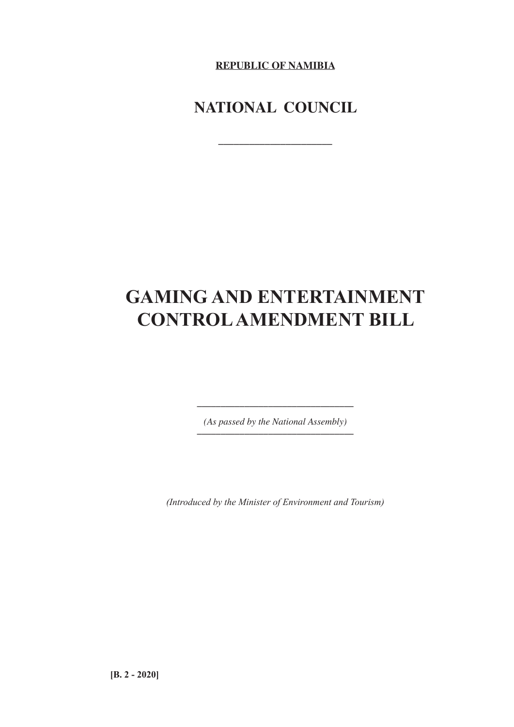**REPUBLIC OF NAMIBIA**

## **NATIONAL COUNCIL**

**\_\_\_\_\_\_\_\_\_\_\_\_\_\_\_\_\_\_\_\_\_\_**

# **GAMING AND ENTERTAINMENT CONTROL AMENDMENT BILL**

*(As passed by the National Assembly) \_\_\_\_\_\_\_\_\_\_\_\_\_\_\_\_\_\_\_\_\_\_\_\_\_\_\_\_\_\_\_\_\_*

*\_\_\_\_\_\_\_\_\_\_\_\_\_\_\_\_\_\_\_\_\_\_\_\_\_\_\_\_\_\_\_\_\_*

*(Introduced by the Minister of Environment and Tourism)*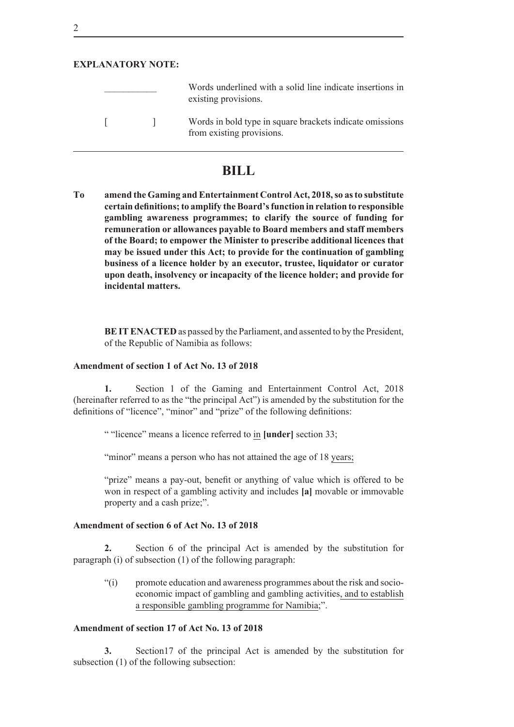#### **EXPLANATORY NOTE:**

|         | Words underlined with a solid line indicate insertions in<br>existing provisions.     |
|---------|---------------------------------------------------------------------------------------|
| $\perp$ | Words in bold type in square brackets indicate omissions<br>from existing provisions. |

### **BILL**

**To amend the Gaming and Entertainment Control Act, 2018, so as to substitute certain definitions; to amplify the Board's function in relation to responsible gambling awareness programmes; to clarify the source of funding for remuneration or allowances payable to Board members and staff members of the Board; to empower the Minister to prescribe additional licences that may be issued under this Act; to provide for the continuation of gambling business of a licence holder by an executor, trustee, liquidator or curator upon death, insolvency or incapacity of the licence holder; and provide for incidental matters.**

**BE IT ENACTED** as passed by the Parliament, and assented to by the President, of the Republic of Namibia as follows:

#### **Amendment of section 1 of Act No. 13 of 2018**

**1.** Section 1 of the Gaming and Entertainment Control Act, 2018 (hereinafter referred to as the "the principal Act") is amended by the substitution for the definitions of "licence", "minor" and "prize" of the following definitions:

" "licence" means a licence referred to in **[under]** section 33;

"minor" means a person who has not attained the age of 18 years;

"prize" means a pay-out, benefit or anything of value which is offered to be won in respect of a gambling activity and includes **[a]** movable or immovable property and a cash prize;".

#### **Amendment of section 6 of Act No. 13 of 2018**

**2.** Section 6 of the principal Act is amended by the substitution for paragraph (i) of subsection (1) of the following paragraph:

"(i) promote education and awareness programmes about the risk and socioeconomic impact of gambling and gambling activities, and to establish a responsible gambling programme for Namibia;".

#### **Amendment of section 17 of Act No. 13 of 2018**

**3.** Section17 of the principal Act is amended by the substitution for subsection (1) of the following subsection: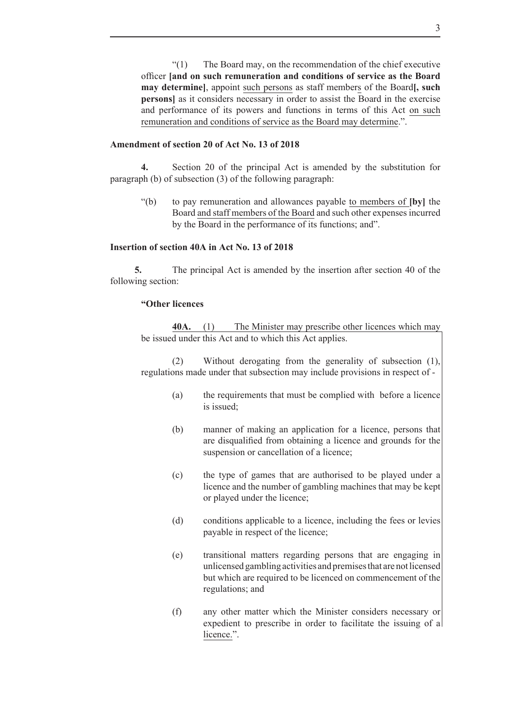"(1) The Board may, on the recommendation of the chief executive officer **[and on such remuneration and conditions of service as the Board may determine]**, appoint such persons as staff members of the Board**[, such persons**] as it considers necessary in order to assist the Board in the exercise and performance of its powers and functions in terms of this Act on such remuneration and conditions of service as the Board may determine.".

#### **Amendment of section 20 of Act No. 13 of 2018**

**4.** Section 20 of the principal Act is amended by the substitution for paragraph (b) of subsection (3) of the following paragraph:

"(b) to pay remuneration and allowances payable to members of **[by]** the Board and staff members of the Board and such other expenses incurred by the Board in the performance of its functions; and".

#### **Insertion of section 40A in Act No. 13 of 2018**

**5.** The principal Act is amended by the insertion after section 40 of the following section:

#### **"Other licences**

**40A.** (1) The Minister may prescribe other licences which may be issued under this Act and to which this Act applies.

(2) Without derogating from the generality of subsection (1), regulations made under that subsection may include provisions in respect of -

- (a) the requirements that must be complied with before a licence is issued;
- (b) manner of making an application for a licence, persons that are disqualified from obtaining a licence and grounds for the suspension or cancellation of a licence;
- (c) the type of games that are authorised to be played under a licence and the number of gambling machines that may be kept or played under the licence;
- (d) conditions applicable to a licence, including the fees or levies payable in respect of the licence;
- (e) transitional matters regarding persons that are engaging in unlicensed gambling activities and premises that are not licensed but which are required to be licenced on commencement of the regulations; and
- (f) any other matter which the Minister considers necessary or expedient to prescribe in order to facilitate the issuing of a licence.".